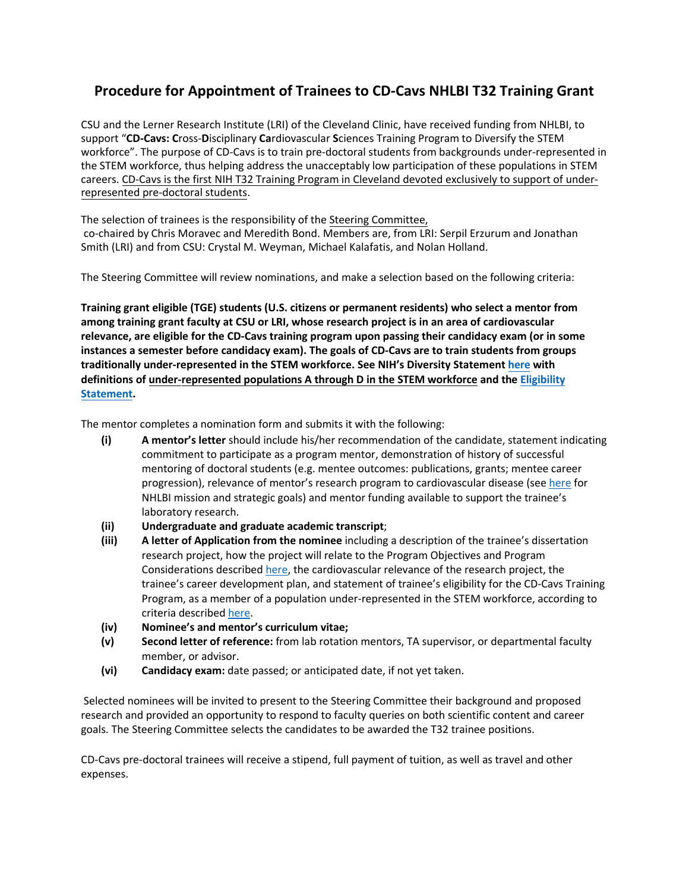## **Procedure for Appointment of Trainees to CD-Cavs NHLBI T32 Training Grant**

CSU and the Lerner Research Institute (LRI) of the Cleveland Clinic, have received funding from NHLBI, to support "**CD-Cavs: C**ross-**D**isciplinary **Ca**rdiovascular **S**ciences Training Program to Diversify the STEM workforce". The purpose of CD-Cavs is to train pre-doctoral students from backgrounds under-represented in the STEM workforce, thus helping address the unacceptably low participation of these populations in STEM careers. CD-Cavs is the first NIH T32 Training Program in Cleveland devoted exclusively to support of underrepresented pre-doctoral students.

The selection of trainees is the responsibility of the Steering Committee, co-chaired by Chris Moravec and Meredith Bond. Members are, from LRI: Serpil Erzurum and Jonathan Smith (LRI) and from CSU: Crystal M. Weyman, Michael Kalafatis, and Nolan Holland.

The Steering Committee will review nominations, and make a selection based on the following criteria:

**Training grant eligible (TGE) students (U.S. citizens or permanent residents) who select a mentor from among training grant faculty at CSU or LRI, whose research project is in an area of cardiovascular relevance, are eligible for the CD-Cavs training program upon passing their candidacy exam (or in some instances a semester before candidacy exam). The goals of CD-Cavs are to train students from groups traditionally under-represented in the STEM workforce. See NIH's Diversity Statement [here](https://grants.nih.gov/grants/guide/notice-files/NOT-OD-20-031.html) with definitions of under-represented populations A through D in the STEM [workforce](https://sciences.csuohio.edu/cdcavs/eligibility-criteria) and the Eligibility Statement.** 

The mentor completes a nomination form and submits it with the following:

- **(i) A mentor's letter** should include his/her recommendation of the candidate, statement indicating commitment to participate as a program mentor, demonstration of history of successful mentoring of doctoral students (e.g. mentee outcomes: publications, grants; mentee career progression), relevance of mentor's research program to cardiovascular disease (see [here](https://www.nhlbi.nih.gov/about/strategic-vision/goals-and-objectives) for NHLBI mission and strategic goals) and mentor funding available to support the trainee's laboratory research.
- **(ii) Undergraduate and graduate academic transcript**;
- **(iii) A letter of Application from the nominee** including a description of the trainee's dissertation research project, how the project will relate to the Program Objectives and Program Considerations described [here,](https://grants.nih.gov/grants/guide/rfa-files/rfa-hl-19-023.html) the cardiovascular relevance of the research project, the trainee's career development plan, and statement of trainee's eligibility for the CD-Cavs Training Program, as a member of a population under-represented in the STEM workforce, according to criteria described [here.](https://sciences.csuohio.edu/cdcavs/eligibility-criteria)
- **(iv) Nominee's and mentor's curriculum vitae;**
- **(v) Second letter of reference:** from lab rotation mentors, TA supervisor, or departmental faculty member, or advisor.
- **(vi) Candidacy exam:** date passed; or anticipated date, if not yet taken.

Selected nominees will be invited to present to the Steering Committee their background and proposed research and provided an opportunity to respond to faculty queries on both scientific content and career goals. The Steering Committee selects the candidates to be awarded the T32 trainee positions.

CD-Cavs pre-doctoral trainees will receive a stipend, full payment of tuition, as well as travel and other expenses.